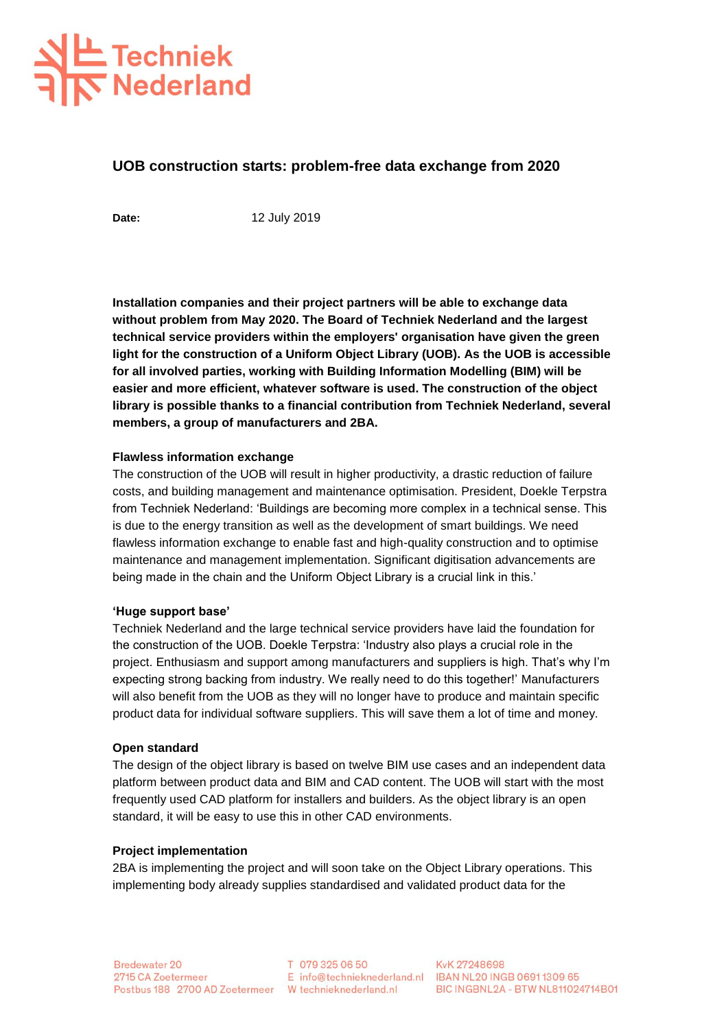# 上 Techniek<br>**下 Nederland**

# **UOB construction starts: problem-free data exchange from 2020**

Date: 12 July 2019

**Installation companies and their project partners will be able to exchange data without problem from May 2020. The Board of Techniek Nederland and the largest technical service providers within the employers' organisation have given the green light for the construction of a Uniform Object Library (UOB). As the UOB is accessible for all involved parties, working with Building Information Modelling (BIM) will be easier and more efficient, whatever software is used. The construction of the object library is possible thanks to a financial contribution from Techniek Nederland, several members, a group of manufacturers and 2BA.** 

#### **Flawless information exchange**

The construction of the UOB will result in higher productivity, a drastic reduction of failure costs, and building management and maintenance optimisation. President, Doekle Terpstra from Techniek Nederland: 'Buildings are becoming more complex in a technical sense. This is due to the energy transition as well as the development of smart buildings. We need flawless information exchange to enable fast and high-quality construction and to optimise maintenance and management implementation. Significant digitisation advancements are being made in the chain and the Uniform Object Library is a crucial link in this.'

#### **'Huge support base'**

Techniek Nederland and the large technical service providers have laid the foundation for the construction of the UOB. Doekle Terpstra: 'Industry also plays a crucial role in the project. Enthusiasm and support among manufacturers and suppliers is high. That's why I'm expecting strong backing from industry. We really need to do this together!' Manufacturers will also benefit from the UOB as they will no longer have to produce and maintain specific product data for individual software suppliers. This will save them a lot of time and money.

#### **Open standard**

The design of the object library is based on twelve BIM use cases and an independent data platform between product data and BIM and CAD content. The UOB will start with the most frequently used CAD platform for installers and builders. As the object library is an open standard, it will be easy to use this in other CAD environments.

#### **Project implementation**

2BA is implementing the project and will soon take on the Object Library operations. This implementing body already supplies standardised and validated product data for the

T 079 325 06 50

KvK 27248698 E info@technieknederland.nl IBAN NL20 INGB 06911309 65 Postbus 188 2700 AD Zoetermeer W technieknederland.nl BIC INGBNL2A - BTW NL811024714B01